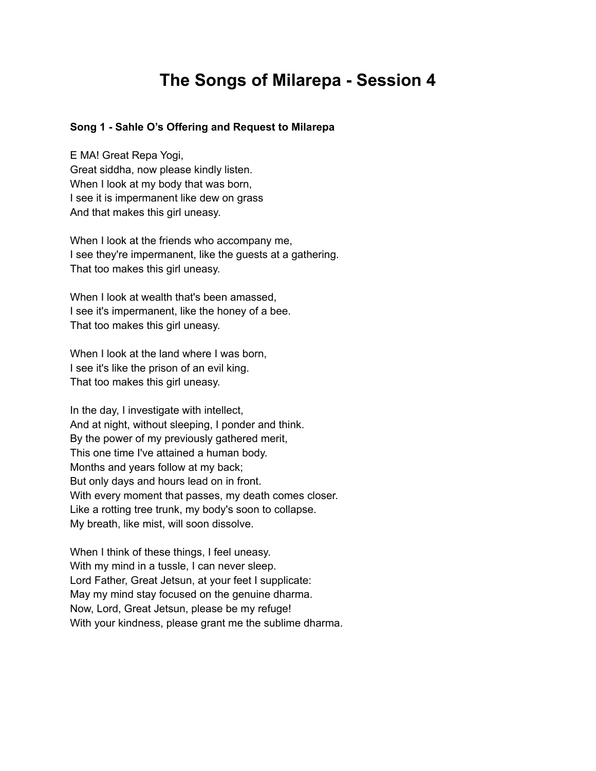## **The Songs of Milarepa - Session 4**

## **Song 1 - Sahle O's Offering and Request to Milarepa**

E MA! Great Repa Yogi, Great siddha, now please kindly listen. When I look at my body that was born, I see it is impermanent like dew on grass And that makes this girl uneasy.

When I look at the friends who accompany me, I see they're impermanent, like the guests at a gathering. That too makes this girl uneasy.

When I look at wealth that's been amassed. I see it's impermanent, like the honey of a bee. That too makes this girl uneasy.

When I look at the land where I was born, I see it's like the prison of an evil king. That too makes this girl uneasy.

In the day, I investigate with intellect, And at night, without sleeping, I ponder and think. By the power of my previously gathered merit, This one time I've attained a human body. Months and years follow at my back; But only days and hours lead on in front. With every moment that passes, my death comes closer. Like a rotting tree trunk, my body's soon to collapse. My breath, like mist, will soon dissolve.

When I think of these things, I feel uneasy. With my mind in a tussle, I can never sleep. Lord Father, Great Jetsun, at your feet I supplicate: May my mind stay focused on the genuine dharma. Now, Lord, Great Jetsun, please be my refuge! With your kindness, please grant me the sublime dharma.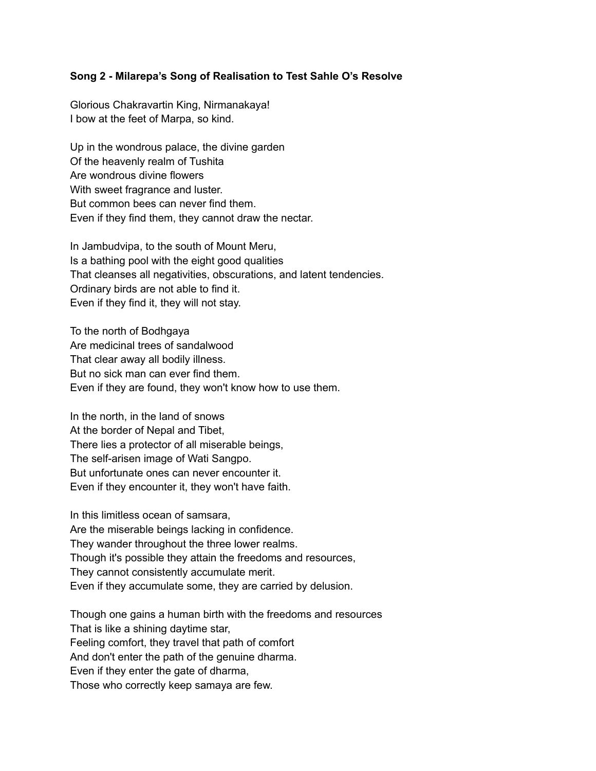## **Song 2 - Milarepa's Song of Realisation to Test Sahle O's Resolve**

Glorious Chakravartin King, Nirmanakaya! I bow at the feet of Marpa, so kind.

Up in the wondrous palace, the divine garden Of the heavenly realm of Tushita Are wondrous divine flowers With sweet fragrance and luster. But common bees can never find them. Even if they find them, they cannot draw the nectar.

In Jambudvipa, to the south of Mount Meru, Is a bathing pool with the eight good qualities That cleanses all negativities, obscurations, and latent tendencies. Ordinary birds are not able to find it. Even if they find it, they will not stay.

To the north of Bodhgaya Are medicinal trees of sandalwood That clear away all bodily illness. But no sick man can ever find them. Even if they are found, they won't know how to use them.

In the north, in the land of snows At the border of Nepal and Tibet, There lies a protector of all miserable beings, The self-arisen image of Wati Sangpo. But unfortunate ones can never encounter it. Even if they encounter it, they won't have faith.

In this limitless ocean of samsara, Are the miserable beings lacking in confidence. They wander throughout the three lower realms. Though it's possible they attain the freedoms and resources, They cannot consistently accumulate merit. Even if they accumulate some, they are carried by delusion.

Though one gains a human birth with the freedoms and resources That is like a shining daytime star, Feeling comfort, they travel that path of comfort And don't enter the path of the genuine dharma. Even if they enter the gate of dharma, Those who correctly keep samaya are few.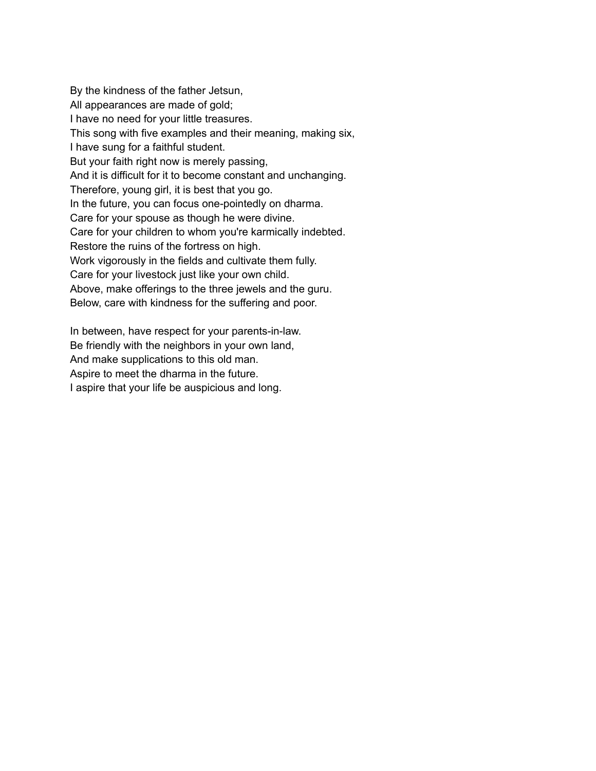By the kindness of the father Jetsun, All appearances are made of gold; I have no need for your little treasures. This song with five examples and their meaning, making six, I have sung for a faithful student. But your faith right now is merely passing, And it is difficult for it to become constant and unchanging. Therefore, young girl, it is best that you go. In the future, you can focus one-pointedly on dharma. Care for your spouse as though he were divine. Care for your children to whom you're karmically indebted. Restore the ruins of the fortress on high. Work vigorously in the fields and cultivate them fully. Care for your livestock just like your own child. Above, make offerings to the three jewels and the guru. Below, care with kindness for the suffering and poor.

In between, have respect for your parents-in-law. Be friendly with the neighbors in your own land, And make supplications to this old man. Aspire to meet the dharma in the future. I aspire that your life be auspicious and long.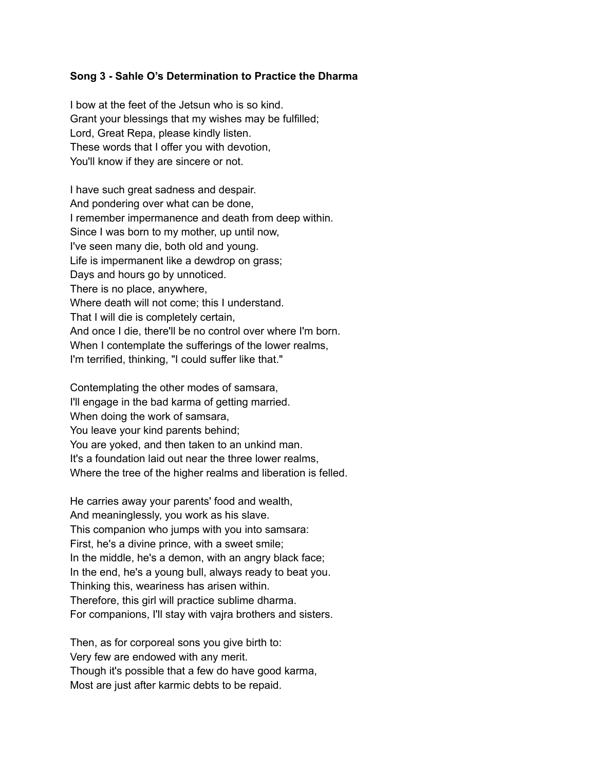## **Song 3 - Sahle O's Determination to Practice the Dharma**

I bow at the feet of the Jetsun who is so kind. Grant your blessings that my wishes may be fulfilled; Lord, Great Repa, please kindly listen. These words that I offer you with devotion, You'll know if they are sincere or not.

I have such great sadness and despair. And pondering over what can be done, I remember impermanence and death from deep within. Since I was born to my mother, up until now, I've seen many die, both old and young. Life is impermanent like a dewdrop on grass; Days and hours go by unnoticed. There is no place, anywhere, Where death will not come; this I understand. That I will die is completely certain, And once I die, there'll be no control over where I'm born. When I contemplate the sufferings of the lower realms, I'm terrified, thinking, "I could suffer like that."

Contemplating the other modes of samsara, I'll engage in the bad karma of getting married. When doing the work of samsara, You leave your kind parents behind; You are yoked, and then taken to an unkind man. It's a foundation laid out near the three lower realms, Where the tree of the higher realms and liberation is felled.

He carries away your parents' food and wealth, And meaninglessly, you work as his slave. This companion who jumps with you into samsara: First, he's a divine prince, with a sweet smile; In the middle, he's a demon, with an angry black face; In the end, he's a young bull, always ready to beat you. Thinking this, weariness has arisen within. Therefore, this girl will practice sublime dharma. For companions, I'll stay with vajra brothers and sisters.

Then, as for corporeal sons you give birth to: Very few are endowed with any merit. Though it's possible that a few do have good karma, Most are just after karmic debts to be repaid.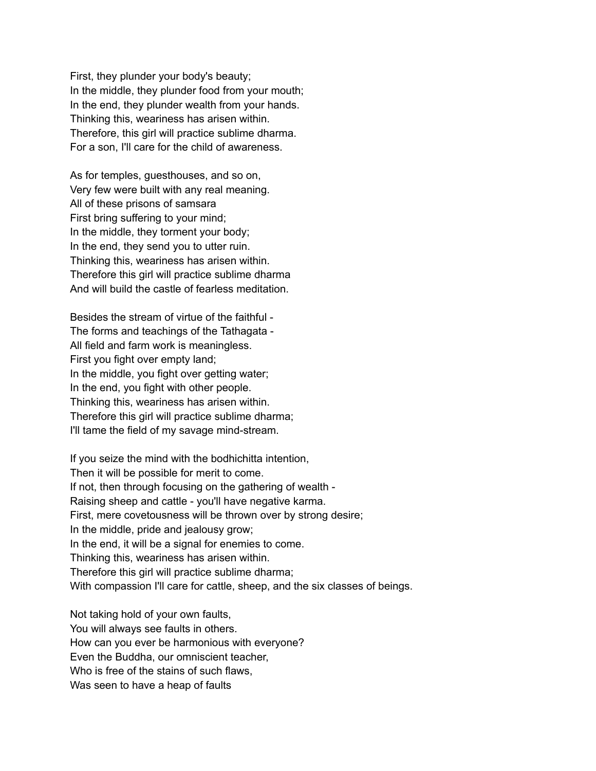First, they plunder your body's beauty; In the middle, they plunder food from your mouth; In the end, they plunder wealth from your hands. Thinking this, weariness has arisen within. Therefore, this girl will practice sublime dharma. For a son, I'll care for the child of awareness.

As for temples, guesthouses, and so on, Very few were built with any real meaning. All of these prisons of samsara First bring suffering to your mind; In the middle, they torment your body; In the end, they send you to utter ruin. Thinking this, weariness has arisen within. Therefore this girl will practice sublime dharma And will build the castle of fearless meditation.

Besides the stream of virtue of the faithful - The forms and teachings of the Tathagata - All field and farm work is meaningless. First you fight over empty land; In the middle, you fight over getting water; In the end, you fight with other people. Thinking this, weariness has arisen within. Therefore this girl will practice sublime dharma; I'll tame the field of my savage mind-stream.

If you seize the mind with the bodhichitta intention, Then it will be possible for merit to come. If not, then through focusing on the gathering of wealth - Raising sheep and cattle - you'll have negative karma. First, mere covetousness will be thrown over by strong desire; In the middle, pride and jealousy grow; In the end, it will be a signal for enemies to come. Thinking this, weariness has arisen within. Therefore this girl will practice sublime dharma; With compassion I'll care for cattle, sheep, and the six classes of beings.

Not taking hold of your own faults, You will always see faults in others. How can you ever be harmonious with everyone? Even the Buddha, our omniscient teacher, Who is free of the stains of such flaws. Was seen to have a heap of faults